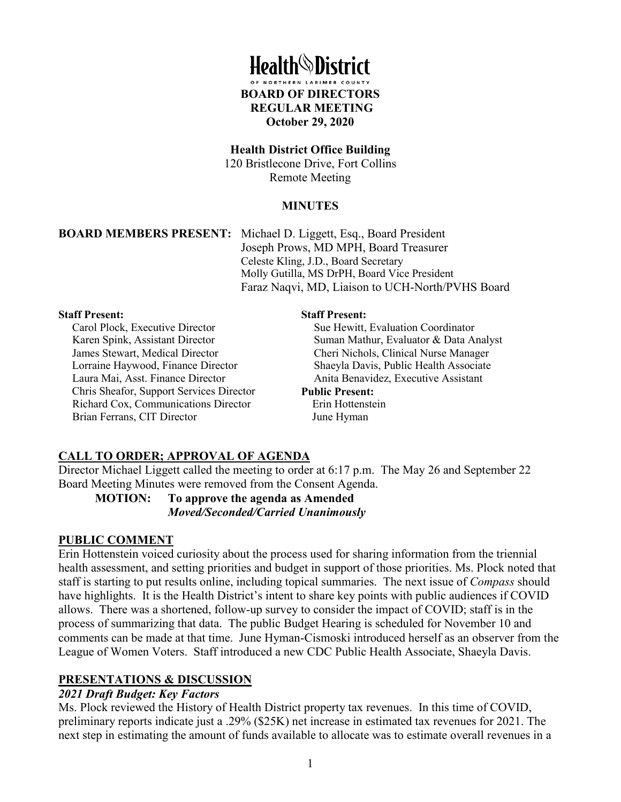

#### **Health District Office Building**

120 Bristlecone Drive, Fort Collins Remote Meeting

## **MINUTES**

**BOARD MEMBERS PRESENT:** Michael D. Liggett, Esq., Board President Joseph Prows, MD MPH, Board Treasurer Celeste Kling, J.D., Board Secretary Molly Gutilla, MS DrPH, Board Vice President Faraz Naqvi, MD, Liaison to UCH-North/PVHS Board

#### **Staff Present:**

Carol Plock, Executive Director Karen Spink, Assistant Director James Stewart, Medical Director Lorraine Haywood, Finance Director Laura Mai, Asst. Finance Director Chris Sheafor, Support Services Director Richard Cox, Communications Director Brian Ferrans, CIT Director

#### **Staff Present:**

Sue Hewitt, Evaluation Coordinator Suman Mathur, Evaluator & Data Analyst Cheri Nichols, Clinical Nurse Manager Shaeyla Davis, Public Health Associate Anita Benavidez, Executive Assistant

#### **Public Present:**

 Erin Hottenstein June Hyman

## **CALL TO ORDER; APPROVAL OF AGENDA**

Director Michael Liggett called the meeting to order at 6:17 p.m. The May 26 and September 22 Board Meeting Minutes were removed from the Consent Agenda.

**MOTION: To approve the agenda as Amended** *Moved/Seconded/Carried Unanimously* 

#### **PUBLIC COMMENT**

Erin Hottenstein voiced curiosity about the process used for sharing information from the triennial health assessment, and setting priorities and budget in support of those priorities. Ms. Plock noted that staff is starting to put results online, including topical summaries. The next issue of *Compass* should have highlights. It is the Health District's intent to share key points with public audiences if COVID allows. There was a shortened, follow-up survey to consider the impact of COVID; staff is in the process of summarizing that data. The public Budget Hearing is scheduled for November 10 and comments can be made at that time. June Hyman-Cismoski introduced herself as an observer from the League of Women Voters. Staff introduced a new CDC Public Health Associate, Shaeyla Davis.

## **PRESENTATIONS & DISCUSSION**

## *2021 Draft Budget: Key Factors*

Ms. Plock reviewed the History of Health District property tax revenues. In this time of COVID, preliminary reports indicate just a .29% (\$25K) net increase in estimated tax revenues for 2021. The next step in estimating the amount of funds available to allocate was to estimate overall revenues in a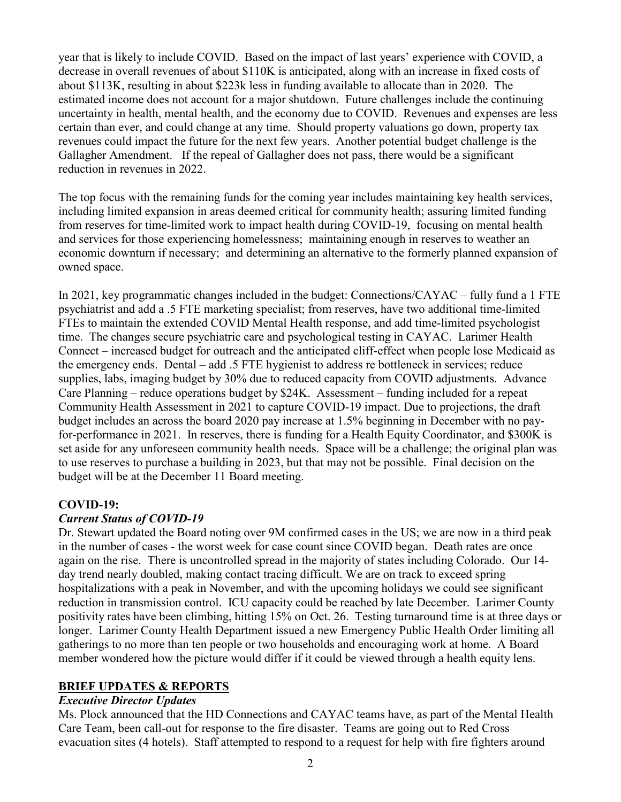year that is likely to include COVID. Based on the impact of last years' experience with COVID, a decrease in overall revenues of about \$110K is anticipated, along with an increase in fixed costs of about \$113K, resulting in about \$223k less in funding available to allocate than in 2020. The estimated income does not account for a major shutdown. Future challenges include the continuing uncertainty in health, mental health, and the economy due to COVID. Revenues and expenses are less certain than ever, and could change at any time. Should property valuations go down, property tax revenues could impact the future for the next few years. Another potential budget challenge is the Gallagher Amendment. If the repeal of Gallagher does not pass, there would be a significant reduction in revenues in 2022.

The top focus with the remaining funds for the coming year includes maintaining key health services, including limited expansion in areas deemed critical for community health; assuring limited funding from reserves for time-limited work to impact health during COVID-19, focusing on mental health and services for those experiencing homelessness; maintaining enough in reserves to weather an economic downturn if necessary; and determining an alternative to the formerly planned expansion of owned space.

In 2021, key programmatic changes included in the budget: Connections/CAYAC – fully fund a 1 FTE psychiatrist and add a .5 FTE marketing specialist; from reserves, have two additional time-limited FTEs to maintain the extended COVID Mental Health response, and add time-limited psychologist time. The changes secure psychiatric care and psychological testing in CAYAC. Larimer Health Connect – increased budget for outreach and the anticipated cliff-effect when people lose Medicaid as the emergency ends. Dental – add .5 FTE hygienist to address re bottleneck in services; reduce supplies, labs, imaging budget by 30% due to reduced capacity from COVID adjustments. Advance Care Planning – reduce operations budget by \$24K. Assessment – funding included for a repeat Community Health Assessment in 2021 to capture COVID-19 impact. Due to projections, the draft budget includes an across the board 2020 pay increase at 1.5% beginning in December with no payfor-performance in 2021. In reserves, there is funding for a Health Equity Coordinator, and \$300K is set aside for any unforeseen community health needs. Space will be a challenge; the original plan was to use reserves to purchase a building in 2023, but that may not be possible. Final decision on the budget will be at the December 11 Board meeting.

## **COVID-19:**

## *Current Status of COVID-19*

Dr. Stewart updated the Board noting over 9M confirmed cases in the US; we are now in a third peak in the number of cases - the worst week for case count since COVID began. Death rates are once again on the rise. There is uncontrolled spread in the majority of states including Colorado. Our 14 day trend nearly doubled, making contact tracing difficult. We are on track to exceed spring hospitalizations with a peak in November, and with the upcoming holidays we could see significant reduction in transmission control. ICU capacity could be reached by late December. Larimer County positivity rates have been climbing, hitting 15% on Oct. 26. Testing turnaround time is at three days or longer. Larimer County Health Department issued a new Emergency Public Health Order limiting all gatherings to no more than ten people or two households and encouraging work at home. A Board member wondered how the picture would differ if it could be viewed through a health equity lens.

## **BRIEF UPDATES & REPORTS**

## *Executive Director Updates*

Ms. Plock announced that the HD Connections and CAYAC teams have, as part of the Mental Health Care Team, been call-out for response to the fire disaster. Teams are going out to Red Cross evacuation sites (4 hotels). Staff attempted to respond to a request for help with fire fighters around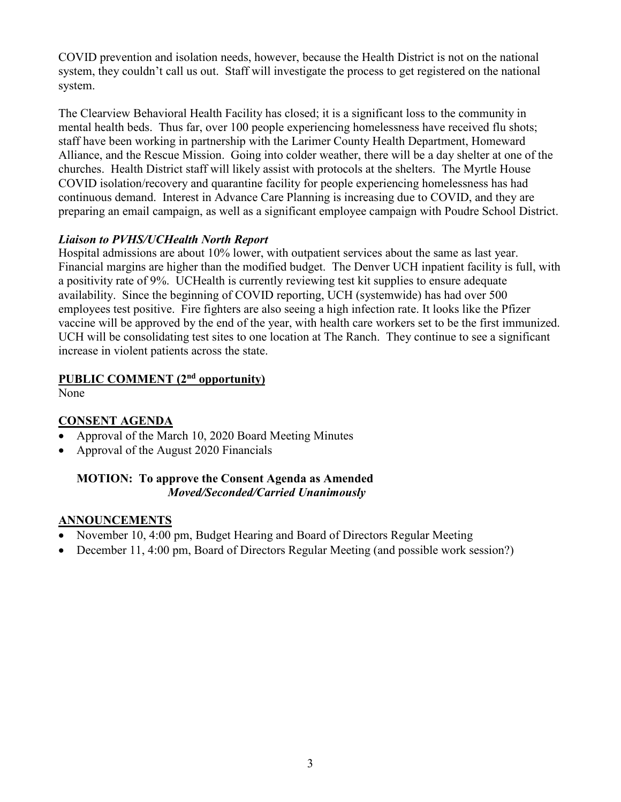COVID prevention and isolation needs, however, because the Health District is not on the national system, they couldn't call us out. Staff will investigate the process to get registered on the national system.

The Clearview Behavioral Health Facility has closed; it is a significant loss to the community in mental health beds. Thus far, over 100 people experiencing homelessness have received flu shots; staff have been working in partnership with the Larimer County Health Department, Homeward Alliance, and the Rescue Mission. Going into colder weather, there will be a day shelter at one of the churches. Health District staff will likely assist with protocols at the shelters. The Myrtle House COVID isolation/recovery and quarantine facility for people experiencing homelessness has had continuous demand. Interest in Advance Care Planning is increasing due to COVID, and they are preparing an email campaign, as well as a significant employee campaign with Poudre School District.

## *Liaison to PVHS/UCHealth North Report*

Hospital admissions are about 10% lower, with outpatient services about the same as last year. Financial margins are higher than the modified budget. The Denver UCH inpatient facility is full, with a positivity rate of 9%. UCHealth is currently reviewing test kit supplies to ensure adequate availability. Since the beginning of COVID reporting, UCH (systemwide) has had over 500 employees test positive. Fire fighters are also seeing a high infection rate. It looks like the Pfizer vaccine will be approved by the end of the year, with health care workers set to be the first immunized. UCH will be consolidating test sites to one location at The Ranch. They continue to see a significant increase in violent patients across the state.

# **PUBLIC COMMENT (2nd opportunity)**

None

# **CONSENT AGENDA**

- Approval of the March 10, 2020 Board Meeting Minutes
- Approval of the August 2020 Financials

## **MOTION: To approve the Consent Agenda as Amended** *Moved/Seconded/Carried Unanimously*

## **ANNOUNCEMENTS**

- November 10, 4:00 pm, Budget Hearing and Board of Directors Regular Meeting
- December 11, 4:00 pm, Board of Directors Regular Meeting (and possible work session?)